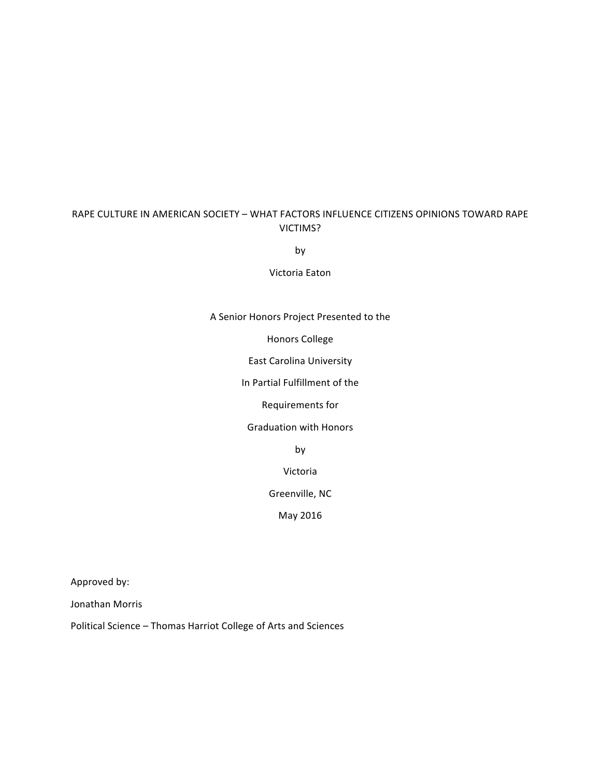# RAPE CULTURE IN AMERICAN SOCIETY - WHAT FACTORS INFLUENCE CITIZENS OPINIONS TOWARD RAPE VICTIMS?

by

Victoria Eaton

#### A Senior Honors Project Presented to the

Honors College

East Carolina University

In Partial Fulfillment of the

Requirements for

Graduation with Honors

by

Victoria 

Greenville, NC

May 2016

Approved by:

Jonathan Morris

Political Science - Thomas Harriot College of Arts and Sciences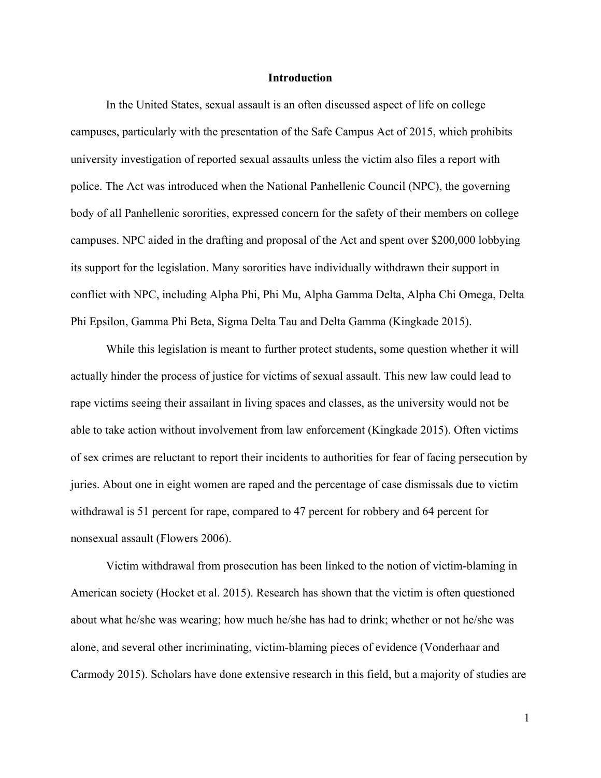### **Introduction**

In the United States, sexual assault is an often discussed aspect of life on college campuses, particularly with the presentation of the Safe Campus Act of 2015, which prohibits university investigation of reported sexual assaults unless the victim also files a report with police. The Act was introduced when the National Panhellenic Council (NPC), the governing body of all Panhellenic sororities, expressed concern for the safety of their members on college campuses. NPC aided in the drafting and proposal of the Act and spent over \$200,000 lobbying its support for the legislation. Many sororities have individually withdrawn their support in conflict with NPC, including Alpha Phi, Phi Mu, Alpha Gamma Delta, Alpha Chi Omega, Delta Phi Epsilon, Gamma Phi Beta, Sigma Delta Tau and Delta Gamma (Kingkade 2015).

While this legislation is meant to further protect students, some question whether it will actually hinder the process of justice for victims of sexual assault. This new law could lead to rape victims seeing their assailant in living spaces and classes, as the university would not be able to take action without involvement from law enforcement (Kingkade 2015). Often victims of sex crimes are reluctant to report their incidents to authorities for fear of facing persecution by juries. About one in eight women are raped and the percentage of case dismissals due to victim withdrawal is 51 percent for rape, compared to 47 percent for robbery and 64 percent for nonsexual assault (Flowers 2006).

Victim withdrawal from prosecution has been linked to the notion of victim-blaming in American society (Hocket et al. 2015). Research has shown that the victim is often questioned about what he/she was wearing; how much he/she has had to drink; whether or not he/she was alone, and several other incriminating, victim-blaming pieces of evidence (Vonderhaar and Carmody 2015). Scholars have done extensive research in this field, but a majority of studies are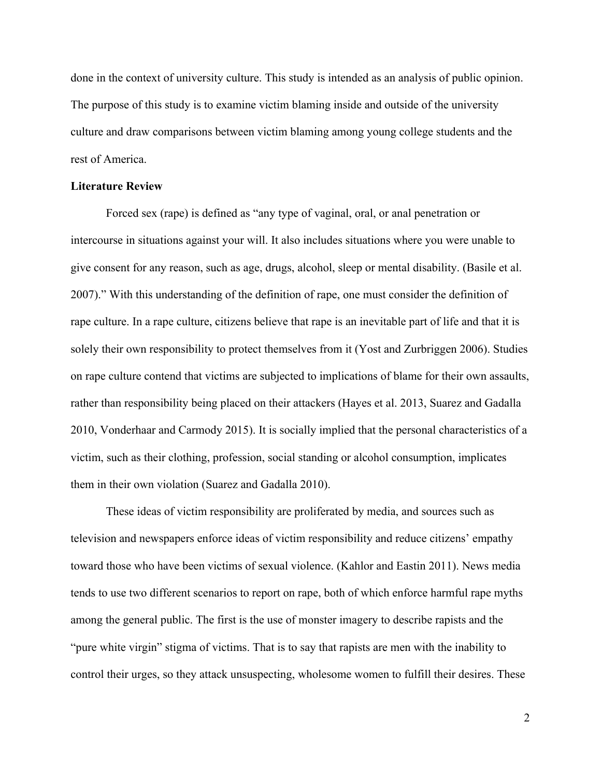done in the context of university culture. This study is intended as an analysis of public opinion. The purpose of this study is to examine victim blaming inside and outside of the university culture and draw comparisons between victim blaming among young college students and the rest of America.

### **Literature Review**

Forced sex (rape) is defined as "any type of vaginal, oral, or anal penetration or intercourse in situations against your will. It also includes situations where you were unable to give consent for any reason, such as age, drugs, alcohol, sleep or mental disability. (Basile et al. 2007)." With this understanding of the definition of rape, one must consider the definition of rape culture. In a rape culture, citizens believe that rape is an inevitable part of life and that it is solely their own responsibility to protect themselves from it (Yost and Zurbriggen 2006). Studies on rape culture contend that victims are subjected to implications of blame for their own assaults, rather than responsibility being placed on their attackers (Hayes et al. 2013, Suarez and Gadalla 2010, Vonderhaar and Carmody 2015). It is socially implied that the personal characteristics of a victim, such as their clothing, profession, social standing or alcohol consumption, implicates them in their own violation (Suarez and Gadalla 2010).

These ideas of victim responsibility are proliferated by media, and sources such as television and newspapers enforce ideas of victim responsibility and reduce citizens' empathy toward those who have been victims of sexual violence. (Kahlor and Eastin 2011). News media tends to use two different scenarios to report on rape, both of which enforce harmful rape myths among the general public. The first is the use of monster imagery to describe rapists and the "pure white virgin" stigma of victims. That is to say that rapists are men with the inability to control their urges, so they attack unsuspecting, wholesome women to fulfill their desires. These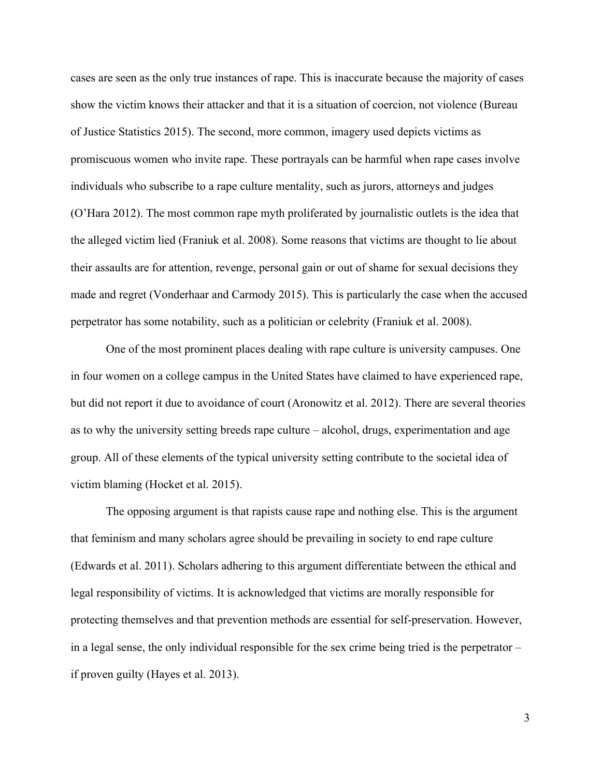cases are seen as the only true instances of rape. This is inaccurate because the majority of cases show the victim knows their attacker and that it is a situation of coercion, not violence (Bureau of Justice Statistics 2015). The second, more common, imagery used depicts victims as promiscuous women who invite rape. These portrayals can be harmful when rape cases involve individuals who subscribe to a rape culture mentality, such as jurors, attorneys and judges (O'Hara 2012). The most common rape myth proliferated by journalistic outlets is the idea that the alleged victim lied (Franiuk et al. 2008). Some reasons that victims are thought to lie about their assaults are for attention, revenge, personal gain or out of shame for sexual decisions they made and regret (Vonderhaar and Carmody 2015). This is particularly the case when the accused perpetrator has some notability, such as a politician or celebrity (Franiuk et al. 2008).

One of the most prominent places dealing with rape culture is university campuses. One in four women on a college campus in the United States have claimed to have experienced rape, but did not report it due to avoidance of court (Aronowitz et al. 2012). There are several theories as to why the university setting breeds rape culture – alcohol, drugs, experimentation and age group. All of these elements of the typical university setting contribute to the societal idea of victim blaming (Hocket et al. 2015).

The opposing argument is that rapists cause rape and nothing else. This is the argument that feminism and many scholars agree should be prevailing in society to end rape culture (Edwards et al. 2011). Scholars adhering to this argument differentiate between the ethical and legal responsibility of victims. It is acknowledged that victims are morally responsible for protecting themselves and that prevention methods are essential for self-preservation. However, in a legal sense, the only individual responsible for the sex crime being tried is the perpetrator – if proven guilty (Hayes et al. 2013).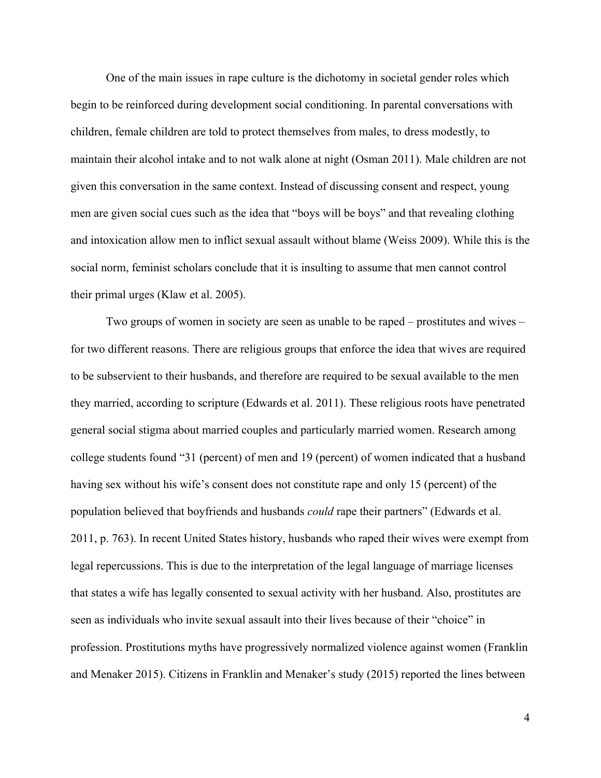One of the main issues in rape culture is the dichotomy in societal gender roles which begin to be reinforced during development social conditioning. In parental conversations with children, female children are told to protect themselves from males, to dress modestly, to maintain their alcohol intake and to not walk alone at night (Osman 2011). Male children are not given this conversation in the same context. Instead of discussing consent and respect, young men are given social cues such as the idea that "boys will be boys" and that revealing clothing and intoxication allow men to inflict sexual assault without blame (Weiss 2009). While this is the social norm, feminist scholars conclude that it is insulting to assume that men cannot control their primal urges (Klaw et al. 2005).

Two groups of women in society are seen as unable to be raped – prostitutes and wives – for two different reasons. There are religious groups that enforce the idea that wives are required to be subservient to their husbands, and therefore are required to be sexual available to the men they married, according to scripture (Edwards et al. 2011). These religious roots have penetrated general social stigma about married couples and particularly married women. Research among college students found "31 (percent) of men and 19 (percent) of women indicated that a husband having sex without his wife's consent does not constitute rape and only 15 (percent) of the population believed that boyfriends and husbands *could* rape their partners" (Edwards et al. 2011, p. 763). In recent United States history, husbands who raped their wives were exempt from legal repercussions. This is due to the interpretation of the legal language of marriage licenses that states a wife has legally consented to sexual activity with her husband. Also, prostitutes are seen as individuals who invite sexual assault into their lives because of their "choice" in profession. Prostitutions myths have progressively normalized violence against women (Franklin and Menaker 2015). Citizens in Franklin and Menaker's study (2015) reported the lines between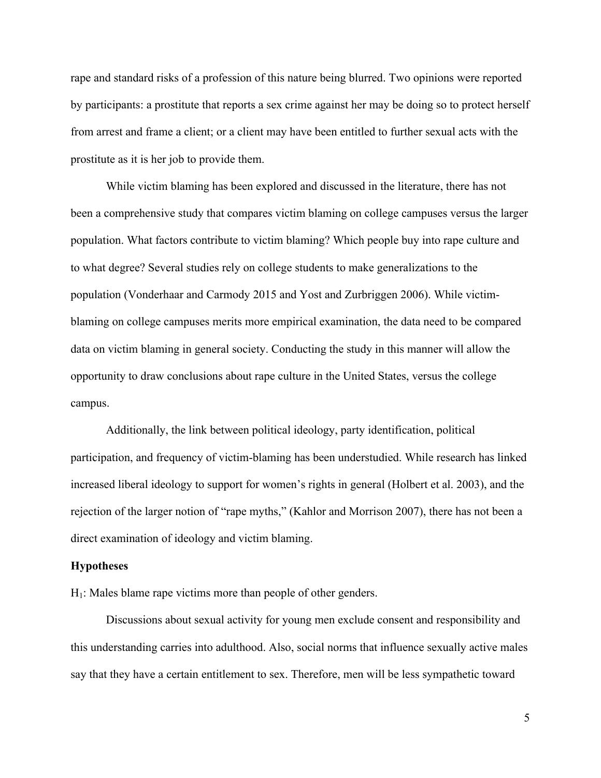rape and standard risks of a profession of this nature being blurred. Two opinions were reported by participants: a prostitute that reports a sex crime against her may be doing so to protect herself from arrest and frame a client; or a client may have been entitled to further sexual acts with the prostitute as it is her job to provide them.

While victim blaming has been explored and discussed in the literature, there has not been a comprehensive study that compares victim blaming on college campuses versus the larger population. What factors contribute to victim blaming? Which people buy into rape culture and to what degree? Several studies rely on college students to make generalizations to the population (Vonderhaar and Carmody 2015 and Yost and Zurbriggen 2006). While victimblaming on college campuses merits more empirical examination, the data need to be compared data on victim blaming in general society. Conducting the study in this manner will allow the opportunity to draw conclusions about rape culture in the United States, versus the college campus.

Additionally, the link between political ideology, party identification, political participation, and frequency of victim-blaming has been understudied. While research has linked increased liberal ideology to support for women's rights in general (Holbert et al. 2003), and the rejection of the larger notion of "rape myths," (Kahlor and Morrison 2007), there has not been a direct examination of ideology and victim blaming.

#### **Hypotheses**

 $H<sub>1</sub>$ : Males blame rape victims more than people of other genders.

Discussions about sexual activity for young men exclude consent and responsibility and this understanding carries into adulthood. Also, social norms that influence sexually active males say that they have a certain entitlement to sex. Therefore, men will be less sympathetic toward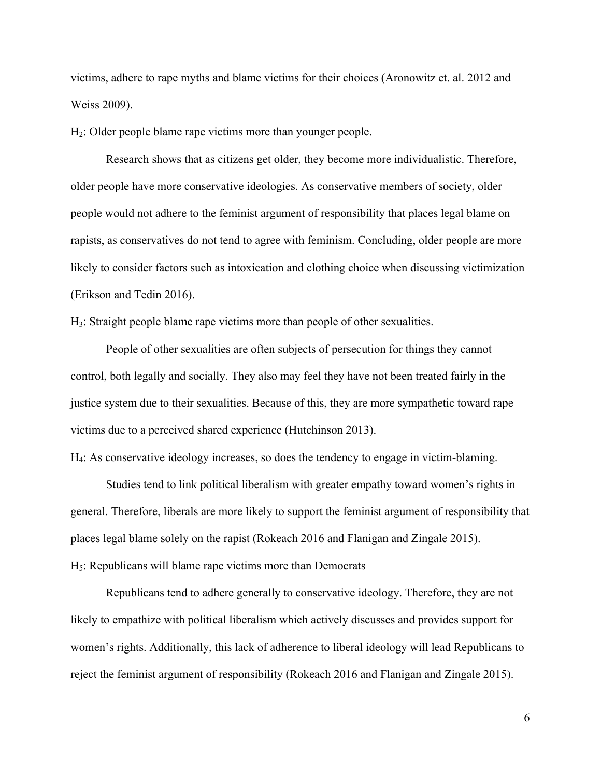victims, adhere to rape myths and blame victims for their choices (Aronowitz et. al. 2012 and Weiss 2009).

H2: Older people blame rape victims more than younger people.

Research shows that as citizens get older, they become more individualistic. Therefore, older people have more conservative ideologies. As conservative members of society, older people would not adhere to the feminist argument of responsibility that places legal blame on rapists, as conservatives do not tend to agree with feminism. Concluding, older people are more likely to consider factors such as intoxication and clothing choice when discussing victimization (Erikson and Tedin 2016).

H3: Straight people blame rape victims more than people of other sexualities.

People of other sexualities are often subjects of persecution for things they cannot control, both legally and socially. They also may feel they have not been treated fairly in the justice system due to their sexualities. Because of this, they are more sympathetic toward rape victims due to a perceived shared experience (Hutchinson 2013).

H4: As conservative ideology increases, so does the tendency to engage in victim-blaming.

Studies tend to link political liberalism with greater empathy toward women's rights in general. Therefore, liberals are more likely to support the feminist argument of responsibility that places legal blame solely on the rapist (Rokeach 2016 and Flanigan and Zingale 2015).  $H<sub>5</sub>$ : Republicans will blame rape victims more than Democrats

Republicans tend to adhere generally to conservative ideology. Therefore, they are not likely to empathize with political liberalism which actively discusses and provides support for women's rights. Additionally, this lack of adherence to liberal ideology will lead Republicans to reject the feminist argument of responsibility (Rokeach 2016 and Flanigan and Zingale 2015).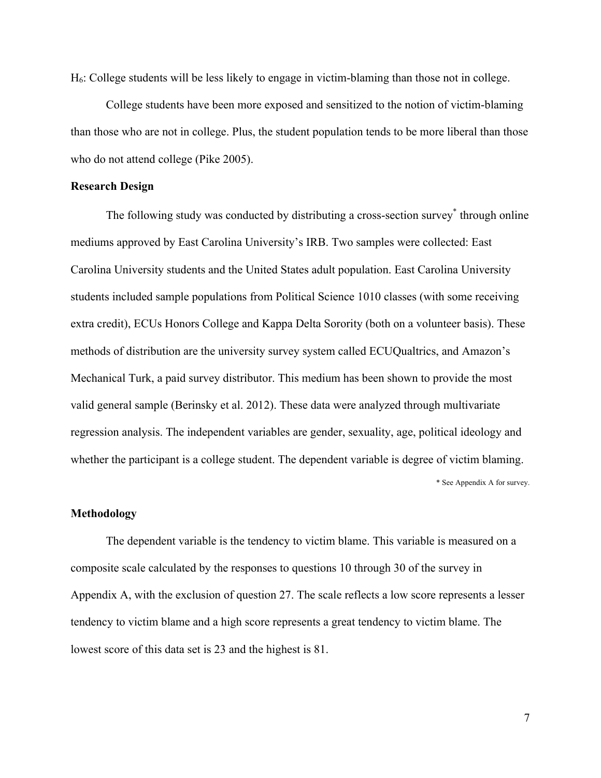H6: College students will be less likely to engage in victim-blaming than those not in college.

College students have been more exposed and sensitized to the notion of victim-blaming than those who are not in college. Plus, the student population tends to be more liberal than those who do not attend college (Pike 2005).

## **Research Design**

The following study was conducted by distributing a cross-section survey<sup>\*</sup> through online mediums approved by East Carolina University's IRB. Two samples were collected: East Carolina University students and the United States adult population. East Carolina University students included sample populations from Political Science 1010 classes (with some receiving extra credit), ECUs Honors College and Kappa Delta Sorority (both on a volunteer basis). These methods of distribution are the university survey system called ECUQualtrics, and Amazon's Mechanical Turk, a paid survey distributor. This medium has been shown to provide the most valid general sample (Berinsky et al. 2012). These data were analyzed through multivariate regression analysis. The independent variables are gender, sexuality, age, political ideology and whether the participant is a college student. The dependent variable is degree of victim blaming.

\* See Appendix A for survey.

## **Methodology**

The dependent variable is the tendency to victim blame. This variable is measured on a composite scale calculated by the responses to questions 10 through 30 of the survey in Appendix A, with the exclusion of question 27. The scale reflects a low score represents a lesser tendency to victim blame and a high score represents a great tendency to victim blame. The lowest score of this data set is 23 and the highest is 81.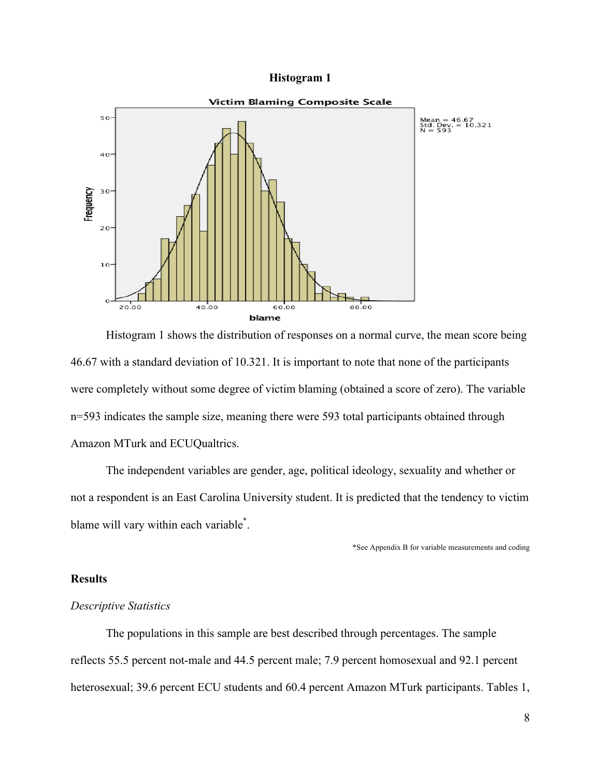#### **Histogram 1**



Histogram 1 shows the distribution of responses on a normal curve, the mean score being 46.67 with a standard deviation of 10.321. It is important to note that none of the participants were completely without some degree of victim blaming (obtained a score of zero). The variable n=593 indicates the sample size, meaning there were 593 total participants obtained through Amazon MTurk and ECUQualtrics.

The independent variables are gender, age, political ideology, sexuality and whether or not a respondent is an East Carolina University student. It is predicted that the tendency to victim blame will vary within each variable\* .

\*See Appendix B for variable measurements and coding

# **Results**

### *Descriptive Statistics*

The populations in this sample are best described through percentages. The sample reflects 55.5 percent not-male and 44.5 percent male; 7.9 percent homosexual and 92.1 percent heterosexual; 39.6 percent ECU students and 60.4 percent Amazon MTurk participants. Tables 1,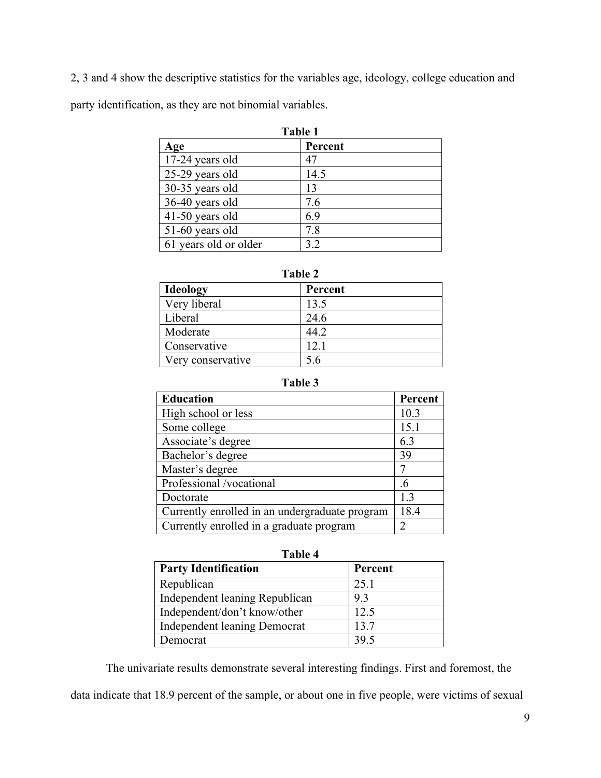2, 3 and 4 show the descriptive statistics for the variables age, ideology, college education and party identification, as they are not binomial variables.

| Table 1               |         |  |
|-----------------------|---------|--|
| Age                   | Percent |  |
| 17-24 years old       | 47      |  |
| 25-29 years old       | 14.5    |  |
| 30-35 years old       | 13      |  |
| 36-40 years old       | 7.6     |  |
| 41-50 years old       | 6.9     |  |
| 51-60 years old       | 7.8     |  |
| 61 years old or older | 32      |  |

| m<br>ш |  |
|--------|--|
|--------|--|

| <b>Ideology</b>   | Percent |
|-------------------|---------|
| Very liberal      | 13.5    |
| Liberal           | 24.6    |
| Moderate          | 44.2    |
| Conservative      | 12.1    |
| Very conservative | 5.6     |

| anı<br>re |  |
|-----------|--|
|-----------|--|

| <b>Education</b>                               | Percent |
|------------------------------------------------|---------|
| High school or less                            | 10.3    |
| Some college                                   | 15.1    |
| Associate's degree                             | 6.3     |
| Bachelor's degree                              | 39      |
| Master's degree                                | 7       |
| Professional /vocational                       | .6      |
| Doctorate                                      | 13      |
| Currently enrolled in an undergraduate program | 18.4    |
| Currently enrolled in a graduate program       | 2       |

| ۱<br>Π<br>Ш |  |
|-------------|--|
|-------------|--|

| <b>Party Identification</b>    | Percent |
|--------------------------------|---------|
| Republican                     | 25.1    |
| Independent leaning Republican | 93      |
| Independent/don't know/other   | 12.5    |
| Independent leaning Democrat   | 13.7    |
| Democrat                       | 39.5    |

The univariate results demonstrate several interesting findings. First and foremost, the data indicate that 18.9 percent of the sample, or about one in five people, were victims of sexual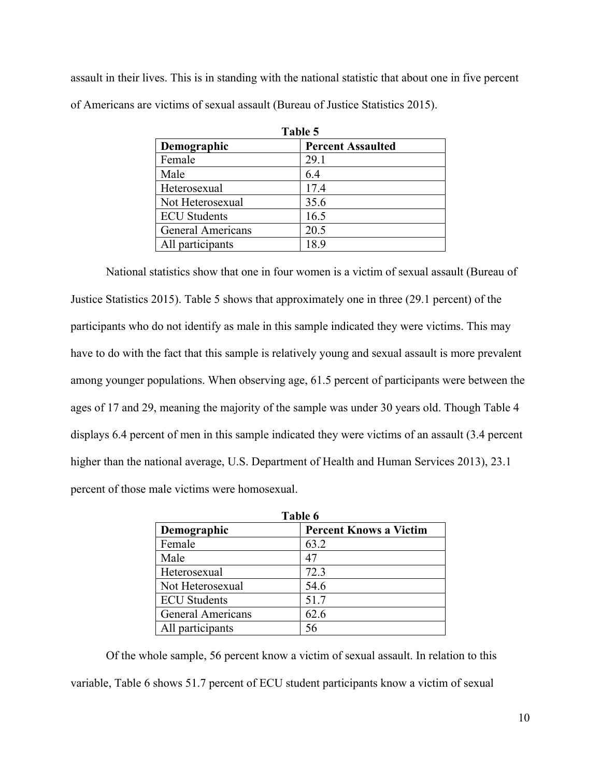assault in their lives. This is in standing with the national statistic that about one in five percent of Americans are victims of sexual assault (Bureau of Justice Statistics 2015).

| Table 5                  |                          |  |
|--------------------------|--------------------------|--|
| Demographic              | <b>Percent Assaulted</b> |  |
| Female                   | 29.1                     |  |
| Male                     | 6.4                      |  |
| Heterosexual             | 17.4                     |  |
| Not Heterosexual         | 35.6                     |  |
| <b>ECU</b> Students      | 16.5                     |  |
| <b>General Americans</b> | 20.5                     |  |
| All participants         | 18.9                     |  |

National statistics show that one in four women is a victim of sexual assault (Bureau of Justice Statistics 2015). Table 5 shows that approximately one in three (29.1 percent) of the participants who do not identify as male in this sample indicated they were victims. This may have to do with the fact that this sample is relatively young and sexual assault is more prevalent among younger populations. When observing age, 61.5 percent of participants were between the ages of 17 and 29, meaning the majority of the sample was under 30 years old. Though Table 4 displays 6.4 percent of men in this sample indicated they were victims of an assault (3.4 percent higher than the national average, U.S. Department of Health and Human Services 2013), 23.1 percent of those male victims were homosexual.

| Table 6                  |                               |
|--------------------------|-------------------------------|
| Demographic              | <b>Percent Knows a Victim</b> |
| Female                   | 63.2                          |
| Male                     | 47                            |
| Heterosexual             | 72.3                          |
| Not Heterosexual         | 54.6                          |
| <b>ECU</b> Students      | 51.7                          |
| <b>General Americans</b> | 62.6                          |
| All participants         | 56                            |

Of the whole sample, 56 percent know a victim of sexual assault. In relation to this variable, Table 6 shows 51.7 percent of ECU student participants know a victim of sexual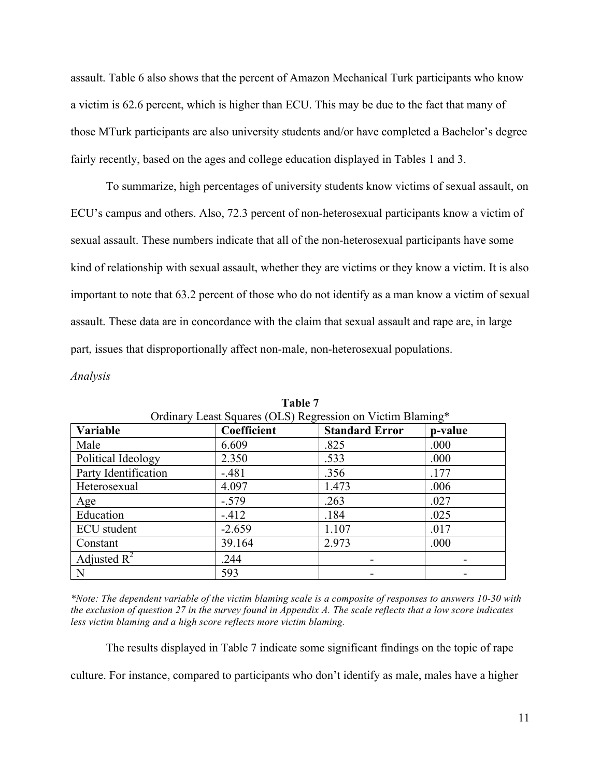assault. Table 6 also shows that the percent of Amazon Mechanical Turk participants who know a victim is 62.6 percent, which is higher than ECU. This may be due to the fact that many of those MTurk participants are also university students and/or have completed a Bachelor's degree fairly recently, based on the ages and college education displayed in Tables 1 and 3.

To summarize, high percentages of university students know victims of sexual assault, on ECU's campus and others. Also, 72.3 percent of non-heterosexual participants know a victim of sexual assault. These numbers indicate that all of the non-heterosexual participants have some kind of relationship with sexual assault, whether they are victims or they know a victim. It is also important to note that 63.2 percent of those who do not identify as a man know a victim of sexual assault. These data are in concordance with the claim that sexual assault and rape are, in large part, issues that disproportionally affect non-male, non-heterosexual populations.

*Analysis* 

| Variable             | Coefficient | <b>Standard Error</b> | p-value |
|----------------------|-------------|-----------------------|---------|
| Male                 | 6.609       | .825                  | .000    |
| Political Ideology   | 2.350       | .533                  | .000    |
| Party Identification | $-.481$     | .356                  | .177    |
| Heterosexual         | 4.097       | 1.473                 | .006    |
| Age                  | $-.579$     | .263                  | .027    |
| Education            | $-412$      | .184                  | .025    |
| <b>ECU</b> student   | $-2.659$    | 1.107                 | .017    |
| Constant             | 39.164      | 2.973                 | .000    |
| Adjusted $R^2$       | .244        |                       |         |
| N                    | 593         |                       |         |

**Table 7**  $\overline{\phantom{a}}$  -iss so Victim Blaming\*

*\*Note: The dependent variable of the victim blaming scale is a composite of responses to answers 10-30 with the exclusion of question 27 in the survey found in Appendix A. The scale reflects that a low score indicates less victim blaming and a high score reflects more victim blaming.* 

The results displayed in Table 7 indicate some significant findings on the topic of rape

culture. For instance, compared to participants who don't identify as male, males have a higher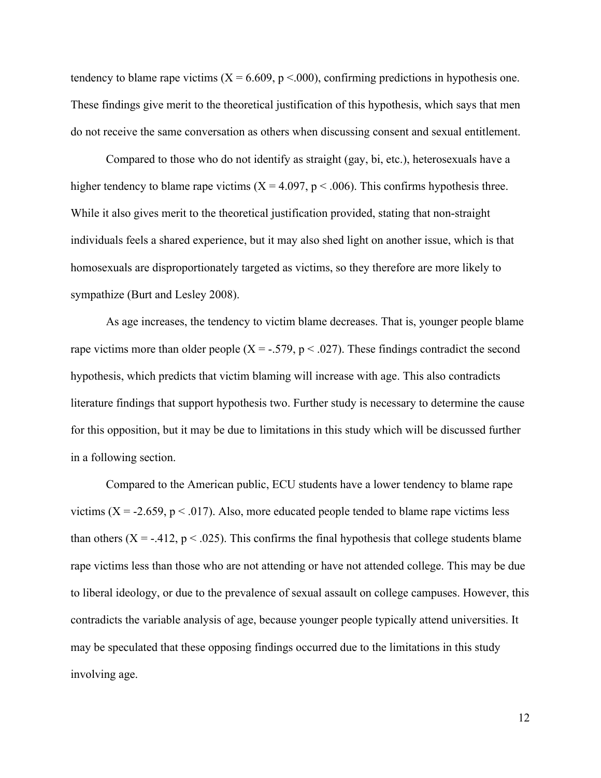tendency to blame rape victims ( $X = 6.609$ ,  $p < .000$ ), confirming predictions in hypothesis one. These findings give merit to the theoretical justification of this hypothesis, which says that men do not receive the same conversation as others when discussing consent and sexual entitlement.

Compared to those who do not identify as straight (gay, bi, etc.), heterosexuals have a higher tendency to blame rape victims  $(X = 4.097, p < .006)$ . This confirms hypothesis three. While it also gives merit to the theoretical justification provided, stating that non-straight individuals feels a shared experience, but it may also shed light on another issue, which is that homosexuals are disproportionately targeted as victims, so they therefore are more likely to sympathize (Burt and Lesley 2008).

As age increases, the tendency to victim blame decreases. That is, younger people blame rape victims more than older people  $(X = -.579, p < .027)$ . These findings contradict the second hypothesis, which predicts that victim blaming will increase with age. This also contradicts literature findings that support hypothesis two. Further study is necessary to determine the cause for this opposition, but it may be due to limitations in this study which will be discussed further in a following section.

Compared to the American public, ECU students have a lower tendency to blame rape victims ( $X = -2.659$ ,  $p < .017$ ). Also, more educated people tended to blame rape victims less than others ( $X = -0.412$ ,  $p < 0.025$ ). This confirms the final hypothesis that college students blame rape victims less than those who are not attending or have not attended college. This may be due to liberal ideology, or due to the prevalence of sexual assault on college campuses. However, this contradicts the variable analysis of age, because younger people typically attend universities. It may be speculated that these opposing findings occurred due to the limitations in this study involving age.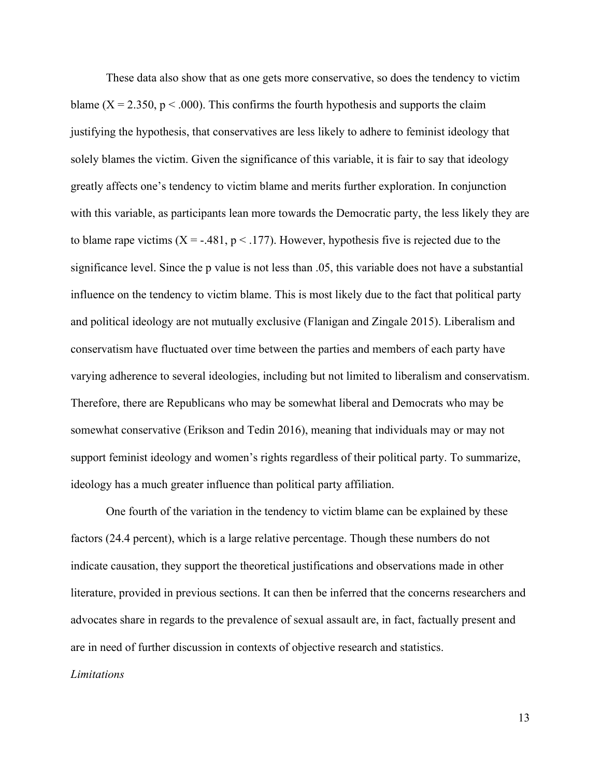These data also show that as one gets more conservative, so does the tendency to victim blame ( $X = 2.350$ ,  $p < .000$ ). This confirms the fourth hypothesis and supports the claim justifying the hypothesis, that conservatives are less likely to adhere to feminist ideology that solely blames the victim. Given the significance of this variable, it is fair to say that ideology greatly affects one's tendency to victim blame and merits further exploration. In conjunction with this variable, as participants lean more towards the Democratic party, the less likely they are to blame rape victims  $(X = -1481, p < 177)$ . However, hypothesis five is rejected due to the significance level. Since the p value is not less than .05, this variable does not have a substantial influence on the tendency to victim blame. This is most likely due to the fact that political party and political ideology are not mutually exclusive (Flanigan and Zingale 2015). Liberalism and conservatism have fluctuated over time between the parties and members of each party have varying adherence to several ideologies, including but not limited to liberalism and conservatism. Therefore, there are Republicans who may be somewhat liberal and Democrats who may be somewhat conservative (Erikson and Tedin 2016), meaning that individuals may or may not support feminist ideology and women's rights regardless of their political party. To summarize, ideology has a much greater influence than political party affiliation.

One fourth of the variation in the tendency to victim blame can be explained by these factors (24.4 percent), which is a large relative percentage. Though these numbers do not indicate causation, they support the theoretical justifications and observations made in other literature, provided in previous sections. It can then be inferred that the concerns researchers and advocates share in regards to the prevalence of sexual assault are, in fact, factually present and are in need of further discussion in contexts of objective research and statistics.

## *Limitations*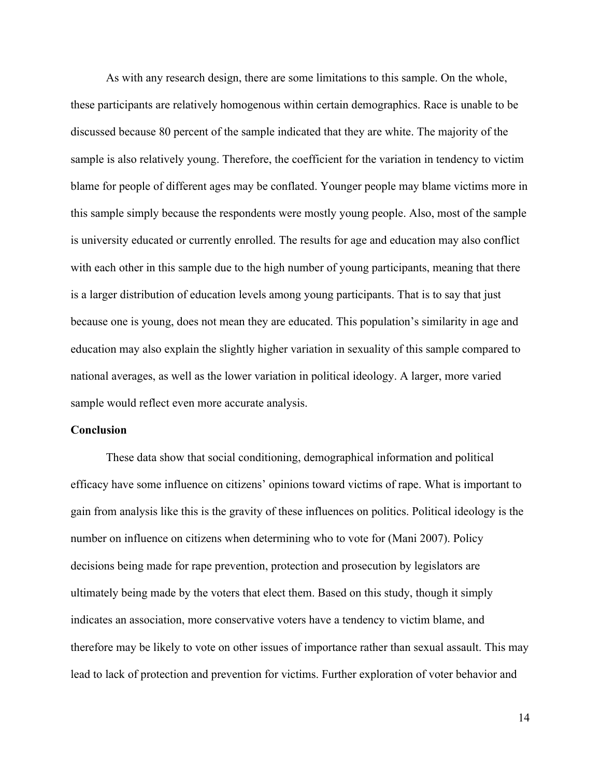As with any research design, there are some limitations to this sample. On the whole, these participants are relatively homogenous within certain demographics. Race is unable to be discussed because 80 percent of the sample indicated that they are white. The majority of the sample is also relatively young. Therefore, the coefficient for the variation in tendency to victim blame for people of different ages may be conflated. Younger people may blame victims more in this sample simply because the respondents were mostly young people. Also, most of the sample is university educated or currently enrolled. The results for age and education may also conflict with each other in this sample due to the high number of young participants, meaning that there is a larger distribution of education levels among young participants. That is to say that just because one is young, does not mean they are educated. This population's similarity in age and education may also explain the slightly higher variation in sexuality of this sample compared to national averages, as well as the lower variation in political ideology. A larger, more varied sample would reflect even more accurate analysis.

# **Conclusion**

These data show that social conditioning, demographical information and political efficacy have some influence on citizens' opinions toward victims of rape. What is important to gain from analysis like this is the gravity of these influences on politics. Political ideology is the number on influence on citizens when determining who to vote for (Mani 2007). Policy decisions being made for rape prevention, protection and prosecution by legislators are ultimately being made by the voters that elect them. Based on this study, though it simply indicates an association, more conservative voters have a tendency to victim blame, and therefore may be likely to vote on other issues of importance rather than sexual assault. This may lead to lack of protection and prevention for victims. Further exploration of voter behavior and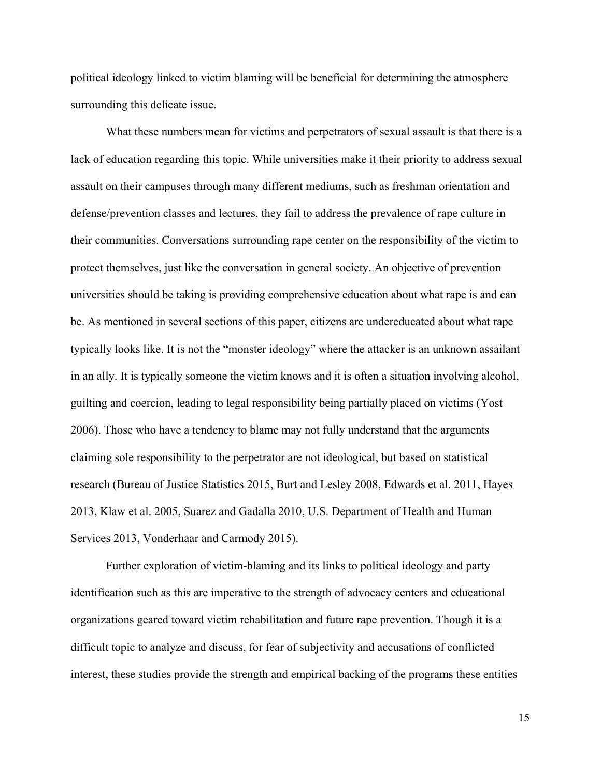political ideology linked to victim blaming will be beneficial for determining the atmosphere surrounding this delicate issue.

What these numbers mean for victims and perpetrators of sexual assault is that there is a lack of education regarding this topic. While universities make it their priority to address sexual assault on their campuses through many different mediums, such as freshman orientation and defense/prevention classes and lectures, they fail to address the prevalence of rape culture in their communities. Conversations surrounding rape center on the responsibility of the victim to protect themselves, just like the conversation in general society. An objective of prevention universities should be taking is providing comprehensive education about what rape is and can be. As mentioned in several sections of this paper, citizens are undereducated about what rape typically looks like. It is not the "monster ideology" where the attacker is an unknown assailant in an ally. It is typically someone the victim knows and it is often a situation involving alcohol, guilting and coercion, leading to legal responsibility being partially placed on victims (Yost 2006). Those who have a tendency to blame may not fully understand that the arguments claiming sole responsibility to the perpetrator are not ideological, but based on statistical research (Bureau of Justice Statistics 2015, Burt and Lesley 2008, Edwards et al. 2011, Hayes 2013, Klaw et al. 2005, Suarez and Gadalla 2010, U.S. Department of Health and Human Services 2013, Vonderhaar and Carmody 2015).

Further exploration of victim-blaming and its links to political ideology and party identification such as this are imperative to the strength of advocacy centers and educational organizations geared toward victim rehabilitation and future rape prevention. Though it is a difficult topic to analyze and discuss, for fear of subjectivity and accusations of conflicted interest, these studies provide the strength and empirical backing of the programs these entities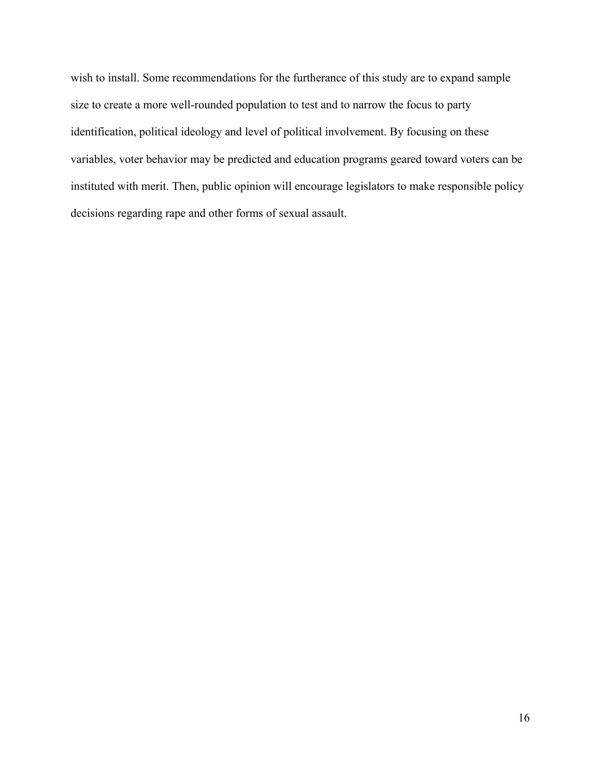wish to install. Some recommendations for the furtherance of this study are to expand sample size to create a more well-rounded population to test and to narrow the focus to party identification, political ideology and level of political involvement. By focusing on these variables, voter behavior may be predicted and education programs geared toward voters can be instituted with merit. Then, public opinion will encourage legislators to make responsible policy decisions regarding rape and other forms of sexual assault.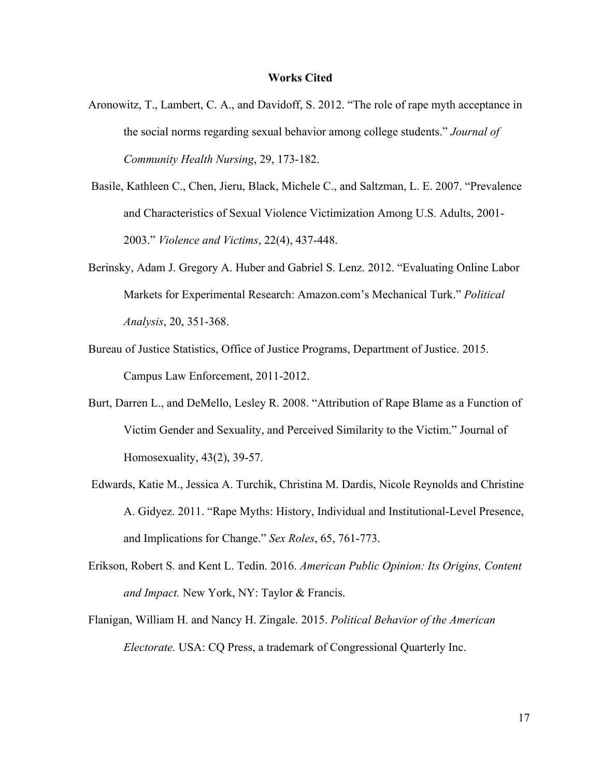#### **Works Cited**

- Aronowitz, T., Lambert, C. A., and Davidoff, S. 2012. "The role of rape myth acceptance in the social norms regarding sexual behavior among college students." *Journal of Community Health Nursing*, 29, 173-182.
- Basile, Kathleen C., Chen, Jieru, Black, Michele C., and Saltzman, L. E. 2007. "Prevalence and Characteristics of Sexual Violence Victimization Among U.S. Adults, 2001- 2003." *Violence and Victims*, 22(4), 437-448.
- Berinsky, Adam J. Gregory A. Huber and Gabriel S. Lenz. 2012. "Evaluating Online Labor Markets for Experimental Research: Amazon.com's Mechanical Turk." *Political Analysis*, 20, 351-368.
- Bureau of Justice Statistics, Office of Justice Programs, Department of Justice. 2015. Campus Law Enforcement, 2011-2012.
- Burt, Darren L., and DeMello, Lesley R. 2008. "Attribution of Rape Blame as a Function of Victim Gender and Sexuality, and Perceived Similarity to the Victim." Journal of Homosexuality, 43(2), 39-57.
- Edwards, Katie M., Jessica A. Turchik, Christina M. Dardis, Nicole Reynolds and Christine A. Gidyez. 2011. "Rape Myths: History, Individual and Institutional-Level Presence, and Implications for Change." *Sex Roles*, 65, 761-773.
- Erikson, Robert S. and Kent L. Tedin. 2016. *American Public Opinion: Its Origins, Content and Impact.* New York, NY: Taylor & Francis.
- Flanigan, William H. and Nancy H. Zingale. 2015. *Political Behavior of the American Electorate.* USA: CQ Press, a trademark of Congressional Quarterly Inc.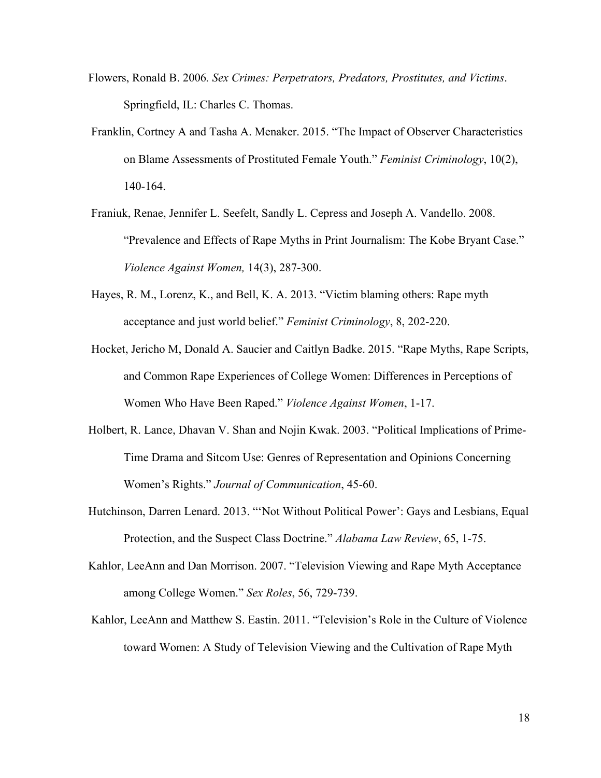- Flowers, Ronald B. 2006*. Sex Crimes: Perpetrators, Predators, Prostitutes, and Victims*. Springfield, IL: Charles C. Thomas.
- Franklin, Cortney A and Tasha A. Menaker. 2015. "The Impact of Observer Characteristics on Blame Assessments of Prostituted Female Youth." *Feminist Criminology*, 10(2), 140-164.
- Franiuk, Renae, Jennifer L. Seefelt, Sandly L. Cepress and Joseph A. Vandello. 2008. "Prevalence and Effects of Rape Myths in Print Journalism: The Kobe Bryant Case." *Violence Against Women,* 14(3), 287-300.
- Hayes, R. M., Lorenz, K., and Bell, K. A. 2013. "Victim blaming others: Rape myth acceptance and just world belief." *Feminist Criminology*, 8, 202-220.
- Hocket, Jericho M, Donald A. Saucier and Caitlyn Badke. 2015. "Rape Myths, Rape Scripts, and Common Rape Experiences of College Women: Differences in Perceptions of Women Who Have Been Raped." *Violence Against Women*, 1-17.
- Holbert, R. Lance, Dhavan V. Shan and Nojin Kwak. 2003. "Political Implications of Prime-Time Drama and Sitcom Use: Genres of Representation and Opinions Concerning Women's Rights." *Journal of Communication*, 45-60.
- Hutchinson, Darren Lenard. 2013. "'Not Without Political Power': Gays and Lesbians, Equal Protection, and the Suspect Class Doctrine." *Alabama Law Review*, 65, 1-75.
- Kahlor, LeeAnn and Dan Morrison. 2007. "Television Viewing and Rape Myth Acceptance among College Women." *Sex Roles*, 56, 729-739.
- Kahlor, LeeAnn and Matthew S. Eastin. 2011. "Television's Role in the Culture of Violence toward Women: A Study of Television Viewing and the Cultivation of Rape Myth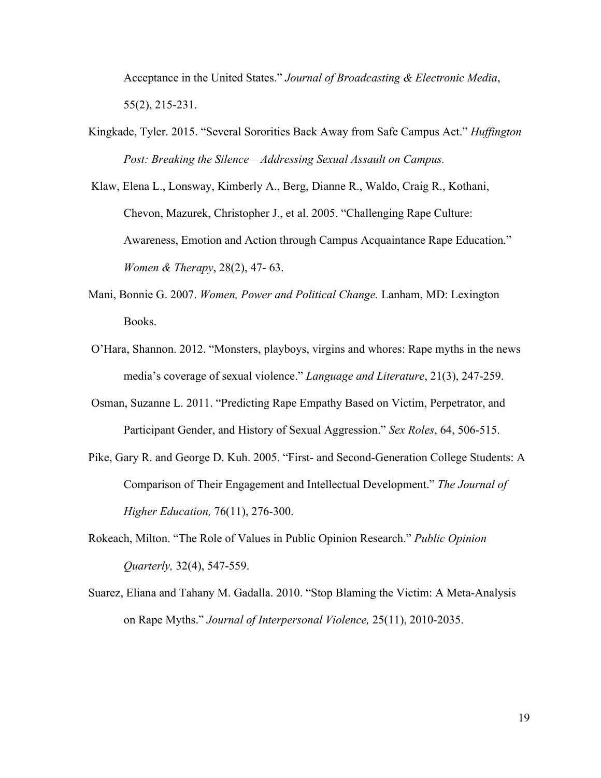Acceptance in the United States." *Journal of Broadcasting & Electronic Media*, 55(2), 215-231.

Kingkade, Tyler. 2015. "Several Sororities Back Away from Safe Campus Act." *Huffington Post: Breaking the Silence – Addressing Sexual Assault on Campus.* 

Klaw, Elena L., Lonsway, Kimberly A., Berg, Dianne R., Waldo, Craig R., Kothani, Chevon, Mazurek, Christopher J., et al. 2005. "Challenging Rape Culture: Awareness, Emotion and Action through Campus Acquaintance Rape Education." *Women & Therapy*, 28(2), 47- 63.

- Mani, Bonnie G. 2007. *Women, Power and Political Change.* Lanham, MD: Lexington Books.
- O'Hara, Shannon. 2012. "Monsters, playboys, virgins and whores: Rape myths in the news media's coverage of sexual violence." *Language and Literature*, 21(3), 247-259.
- Osman, Suzanne L. 2011. "Predicting Rape Empathy Based on Victim, Perpetrator, and Participant Gender, and History of Sexual Aggression." *Sex Roles*, 64, 506-515.
- Pike, Gary R. and George D. Kuh. 2005. "First- and Second-Generation College Students: A Comparison of Their Engagement and Intellectual Development." *The Journal of Higher Education,* 76(11), 276-300.
- Rokeach, Milton. "The Role of Values in Public Opinion Research." *Public Opinion Quarterly,* 32(4), 547-559.
- Suarez, Eliana and Tahany M. Gadalla. 2010. "Stop Blaming the Victim: A Meta-Analysis on Rape Myths." *Journal of Interpersonal Violence,* 25(11), 2010-2035.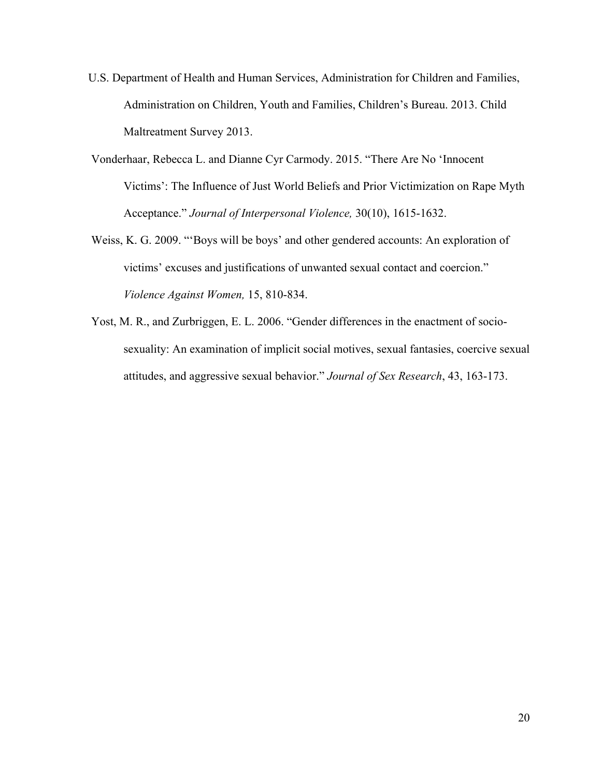- U.S. Department of Health and Human Services, Administration for Children and Families, Administration on Children, Youth and Families, Children's Bureau. 2013. Child Maltreatment Survey 2013.
- Vonderhaar, Rebecca L. and Dianne Cyr Carmody. 2015. "There Are No 'Innocent Victims': The Influence of Just World Beliefs and Prior Victimization on Rape Myth Acceptance." *Journal of Interpersonal Violence,* 30(10), 1615-1632.
- Weiss, K. G. 2009. "'Boys will be boys' and other gendered accounts: An exploration of victims' excuses and justifications of unwanted sexual contact and coercion." *Violence Against Women,* 15, 810-834.
- Yost, M. R., and Zurbriggen, E. L. 2006. "Gender differences in the enactment of sociosexuality: An examination of implicit social motives, sexual fantasies, coercive sexual attitudes, and aggressive sexual behavior." *Journal of Sex Research*, 43, 163-173.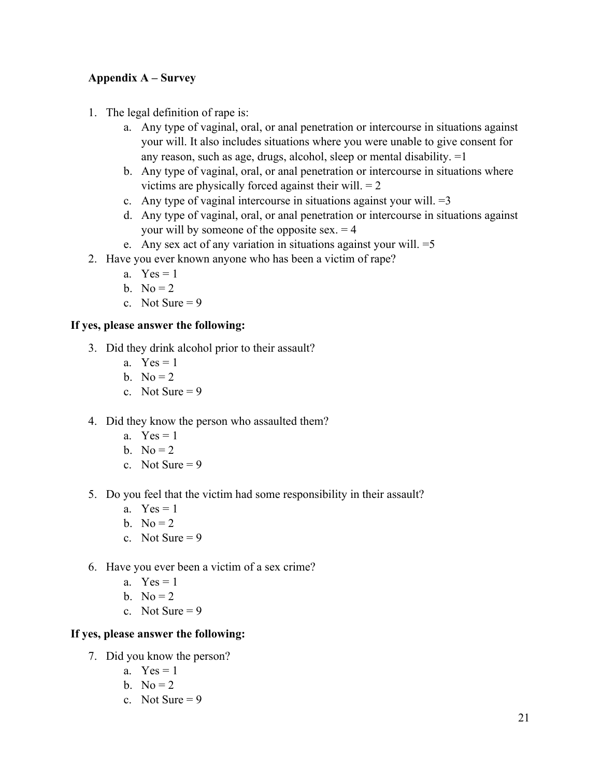# **Appendix A – Survey**

- 1. The legal definition of rape is:
	- a. Any type of vaginal, oral, or anal penetration or intercourse in situations against your will. It also includes situations where you were unable to give consent for any reason, such as age, drugs, alcohol, sleep or mental disability. =1
	- b. Any type of vaginal, oral, or anal penetration or intercourse in situations where victims are physically forced against their will.  $= 2$
	- c. Any type of vaginal intercourse in situations against your will.  $=3$
	- d. Any type of vaginal, oral, or anal penetration or intercourse in situations against your will by someone of the opposite sex.  $= 4$
	- e. Any sex act of any variation in situations against your will.  $=$  5
- 2. Have you ever known anyone who has been a victim of rape?
	- a.  $Yes = 1$
	- b. No  $= 2$
	- c. Not Sure  $= 9$

# **If yes, please answer the following:**

- 3. Did they drink alcohol prior to their assault?
	- a.  $Yes = 1$
	- b. No  $= 2$
	- c. Not Sure  $= 9$
- 4. Did they know the person who assaulted them?
	- a.  $Yes = 1$
	- b. No  $= 2$
	- c. Not Sure  $= 9$
- 5. Do you feel that the victim had some responsibility in their assault?
	- a.  $Yes = 1$
	- b. No  $= 2$
	- c. Not Sure  $= 9$
- 6. Have you ever been a victim of a sex crime?
	- a.  $Yes = 1$
	- b. No  $= 2$
	- c. Not Sure  $= 9$

# **If yes, please answer the following:**

- 7. Did you know the person?
	- a.  $Yes = 1$
	- b. No  $= 2$
	- c. Not Sure  $= 9$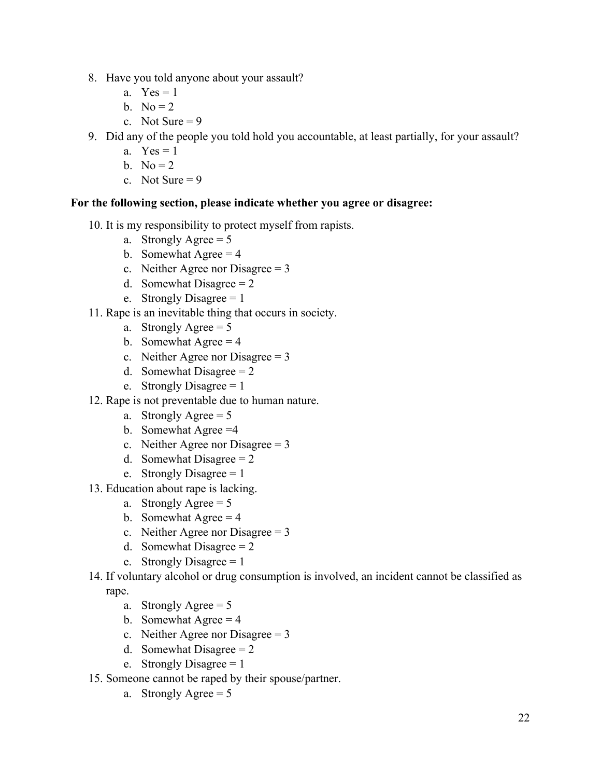- 8. Have you told anyone about your assault?
	- a.  $Yes = 1$
	- $h$   $No = 2$
	- c. Not Sure  $= 9$
- 9. Did any of the people you told hold you accountable, at least partially, for your assault?
	- a.  $Yes = 1$
	- b. No  $= 2$
	- c. Not Sure  $= 9$

# **For the following section, please indicate whether you agree or disagree:**

- 10. It is my responsibility to protect myself from rapists.
	- a. Strongly Agree  $= 5$
	- b. Somewhat  $A\text{gree} = 4$
	- c. Neither Agree nor Disagree  $= 3$
	- d. Somewhat Disagree  $= 2$
	- e. Strongly Disagree  $= 1$
- 11. Rape is an inevitable thing that occurs in society.
	- a. Strongly Agree  $= 5$
	- b. Somewhat Agree  $= 4$
	- c. Neither Agree nor Disagree  $= 3$
	- d. Somewhat Disagree  $= 2$
	- e. Strongly Disagree  $= 1$
- 12. Rape is not preventable due to human nature.
	- a. Strongly Agree  $= 5$
	- b. Somewhat Agree =4
	- c. Neither Agree nor Disagree  $= 3$
	- d. Somewhat Disagree  $= 2$
	- e. Strongly Disagree  $= 1$
- 13. Education about rape is lacking.
	- a. Strongly Agree  $= 5$
	- b. Somewhat Agree  $= 4$
	- c. Neither Agree nor Disagree = 3
	- d. Somewhat Disagree  $= 2$
	- e. Strongly Disagree  $= 1$
- 14. If voluntary alcohol or drug consumption is involved, an incident cannot be classified as rape.
	- a. Strongly Agree  $= 5$
	- b. Somewhat Agree  $= 4$
	- c. Neither Agree nor Disagree  $= 3$
	- d. Somewhat Disagree  $= 2$
	- e. Strongly Disagree  $= 1$
- 15. Someone cannot be raped by their spouse/partner.
	- a. Strongly Agree  $= 5$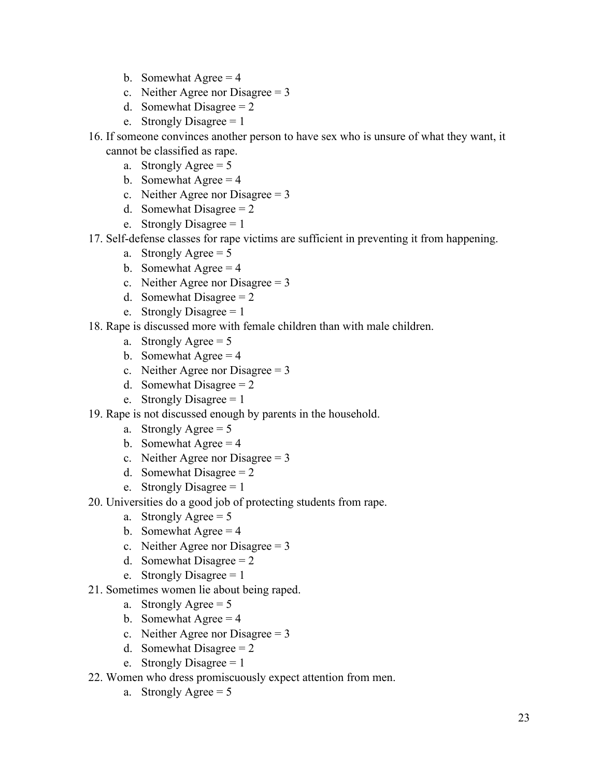- b. Somewhat Agree  $= 4$
- c. Neither Agree nor Disagree  $= 3$
- d. Somewhat Disagree  $= 2$
- e. Strongly Disagree  $= 1$
- 16. If someone convinces another person to have sex who is unsure of what they want, it cannot be classified as rape.
	- a. Strongly Agree  $= 5$
	- b. Somewhat Agree  $= 4$
	- c. Neither Agree nor Disagree  $= 3$
	- d. Somewhat Disagree  $= 2$
	- e. Strongly Disagree  $= 1$
- 17. Self-defense classes for rape victims are sufficient in preventing it from happening.
	- a. Strongly Agree  $= 5$
	- b. Somewhat Agree  $= 4$
	- c. Neither Agree nor Disagree  $= 3$
	- d. Somewhat Disagree  $= 2$
	- e. Strongly Disagree  $= 1$
- 18. Rape is discussed more with female children than with male children.
	- a. Strongly Agree  $= 5$
	- b. Somewhat Agree  $= 4$
	- c. Neither Agree nor Disagree  $= 3$
	- d. Somewhat Disagree  $= 2$
	- e. Strongly Disagree = 1
- 19. Rape is not discussed enough by parents in the household.
	- a. Strongly Agree  $= 5$
	- b. Somewhat Agree  $= 4$
	- c. Neither Agree nor Disagree  $= 3$
	- d. Somewhat Disagree  $= 2$
	- e. Strongly Disagree  $= 1$
- 20. Universities do a good job of protecting students from rape.
	- a. Strongly Agree  $= 5$
	- b. Somewhat Agree  $= 4$
	- c. Neither Agree nor Disagree  $= 3$
	- d. Somewhat Disagree  $= 2$
	- e. Strongly Disagree  $= 1$
- 21. Sometimes women lie about being raped.
	- a. Strongly Agree  $= 5$
	- b. Somewhat Agree  $= 4$
	- c. Neither Agree nor Disagree  $= 3$
	- d. Somewhat Disagree  $= 2$
	- e. Strongly Disagree  $= 1$
- 22. Women who dress promiscuously expect attention from men.
	- a. Strongly Agree  $= 5$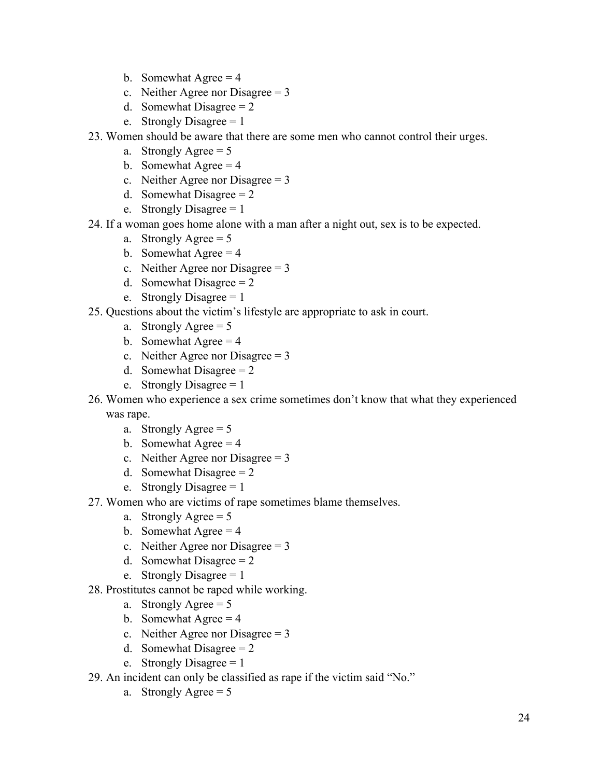- b. Somewhat Agree  $= 4$
- c. Neither Agree nor Disagree  $= 3$
- d. Somewhat Disagree  $= 2$
- e. Strongly Disagree  $= 1$
- 23. Women should be aware that there are some men who cannot control their urges.
	- a. Strongly Agree  $= 5$
	- b. Somewhat Agree  $= 4$
	- c. Neither Agree nor Disagree  $= 3$
	- d. Somewhat Disagree  $= 2$
	- e. Strongly Disagree  $= 1$
- 24. If a woman goes home alone with a man after a night out, sex is to be expected.
	- a. Strongly Agree  $= 5$
	- b. Somewhat Agree  $= 4$
	- c. Neither Agree nor Disagree = 3
	- d. Somewhat Disagree  $= 2$
	- e. Strongly Disagree  $= 1$
- 25. Questions about the victim's lifestyle are appropriate to ask in court.
	- a. Strongly Agree  $= 5$
	- b. Somewhat Agree  $= 4$
	- c. Neither Agree nor Disagree  $= 3$
	- d. Somewhat Disagree  $= 2$
	- e. Strongly Disagree  $= 1$
- 26. Women who experience a sex crime sometimes don't know that what they experienced was rape.
	- a. Strongly Agree  $= 5$
	- b. Somewhat Agree  $= 4$
	- c. Neither Agree nor Disagree = 3
	- d. Somewhat Disagree  $= 2$
	- e. Strongly Disagree  $= 1$
- 27. Women who are victims of rape sometimes blame themselves.
	- a. Strongly Agree  $= 5$
	- b. Somewhat Agree  $= 4$
	- c. Neither Agree nor Disagree  $= 3$
	- d. Somewhat Disagree  $= 2$
	- e. Strongly Disagree  $= 1$
- 28. Prostitutes cannot be raped while working.
	- a. Strongly Agree  $= 5$
	- b. Somewhat Agree  $= 4$
	- c. Neither Agree nor Disagree  $= 3$
	- d. Somewhat Disagree  $= 2$
	- e. Strongly Disagree  $= 1$
- 29. An incident can only be classified as rape if the victim said "No."
	- a. Strongly Agree  $= 5$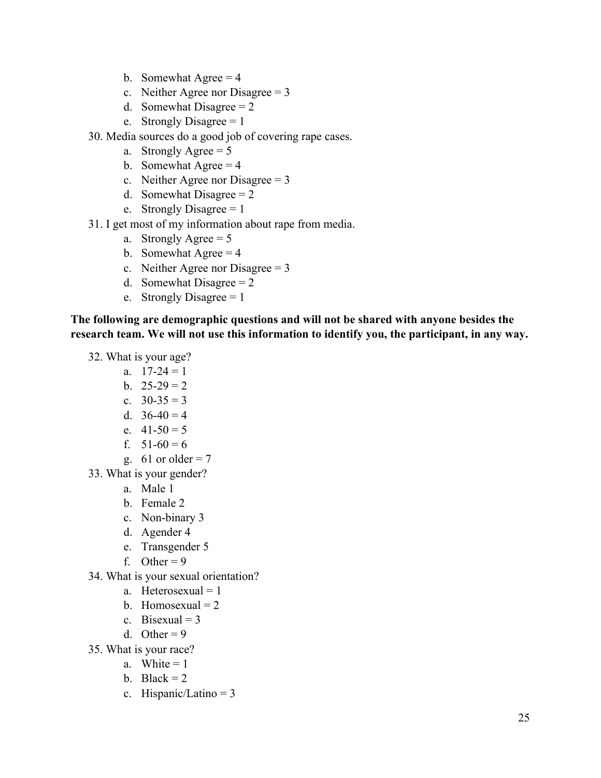- b. Somewhat Agree  $= 4$
- c. Neither Agree nor Disagree  $= 3$
- d. Somewhat Disagree  $= 2$
- e. Strongly Disagree  $= 1$
- 30. Media sources do a good job of covering rape cases.
	- a. Strongly Agree  $= 5$
	- b. Somewhat Agree  $= 4$
	- c. Neither Agree nor Disagree  $= 3$
	- d. Somewhat Disagree  $= 2$
	- e. Strongly Disagree  $= 1$
- 31. I get most of my information about rape from media.
	- a. Strongly Agree  $= 5$
	- b. Somewhat Agree  $= 4$
	- c. Neither Agree nor Disagree  $= 3$
	- d. Somewhat Disagree  $= 2$
	- e. Strongly Disagree  $= 1$

**The following are demographic questions and will not be shared with anyone besides the research team. We will not use this information to identify you, the participant, in any way.** 

- 32. What is your age?
	- a.  $17-24=1$
	- b.  $25-29=2$
	- c.  $30-35=3$
	- d.  $36-40=4$
	- e.  $41-50=5$
	- f.  $51-60=6$
	- g. 61 or older =  $7$
- 33. What is your gender?
	- a. Male 1
	- b. Female 2
	- c. Non-binary 3
	- d. Agender 4
	- e. Transgender 5
	- f. Other =  $9$
- 34. What is your sexual orientation?
	- a. Heterosexual  $= 1$
	- b. Homosexual  $= 2$
	- c. Bisexual =  $3$
	- d. Other =  $9$
- 35. What is your race?
	- a. White  $= 1$
	- b. Black =  $2$
	- c. Hispanic/Latino = 3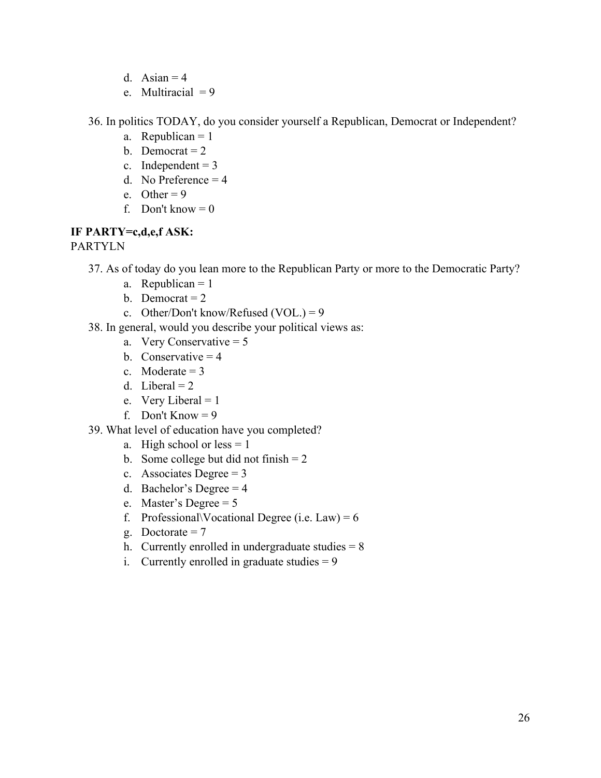- d. Asian  $= 4$
- e. Multiracial  $= 9$

36. In politics TODAY, do you consider yourself a Republican, Democrat or Independent?

- a. Republican  $= 1$
- b. Democrat  $= 2$
- c. Independent  $= 3$
- d. No Preference  $= 4$
- e. Other =  $9$
- f. Don't know  $= 0$

# **IF PARTY=c,d,e,f ASK:**

PARTYLN

- 37. As of today do you lean more to the Republican Party or more to the Democratic Party?
	- a. Republican  $= 1$
	- b. Democrat  $= 2$
	- c. Other/Don't know/Refused (VOL.) = 9
- 38. In general, would you describe your political views as:
	- a. Very Conservative  $= 5$
	- b. Conservative  $= 4$
	- c. Moderate  $= 3$
	- d. Liberal  $= 2$
	- e. Very Liberal = 1
	- f. Don't Know  $= 9$
- 39. What level of education have you completed?
	- a. High school or  $less = 1$
	- b. Some college but did not finish  $= 2$
	- c. Associates Degree  $= 3$
	- d. Bachelor's Degree  $= 4$
	- e. Master's Degree = 5
	- f. Professional Vocational Degree (i.e. Law) =  $6$
	- g. Doctorate  $= 7$
	- h. Currently enrolled in undergraduate studies  $= 8$
	- i. Currently enrolled in graduate studies  $= 9$